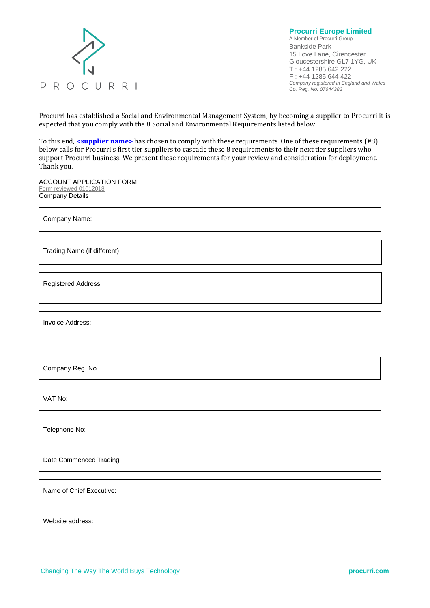

**Procurri Europe Limited** A Member of Procurri Group Bankside Park 15 Love Lane, Cirencester Gloucestershire GL7 1YG, UK T : +44 1285 642 222 F : +44 1285 644 422 *Company registered in England and Wales Co. Reg. No. 07644383*

Procurri has established a Social and Environmental Management System, by becoming a supplier to Procurri it is expected that you comply with the 8 Social and Environmental Requirements listed below

To this end, **<supplier name>** has chosen to comply with these requirements. One of these requirements (#8) below calls for Procurri's first tier suppliers to cascade these 8 requirements to their next tier suppliers who support Procurri business. We present these requirements for your review and consideration for deployment. Thank you.

ACCOUNT APPLICATION FORM Form reviewed 01012018 Company Details

Company Name:

Trading Name (if different)

Registered Address:

Invoice Address:

Company Reg. No.

VAT No:

Telephone No:

Date Commenced Trading:

Name of Chief Executive:

Website address: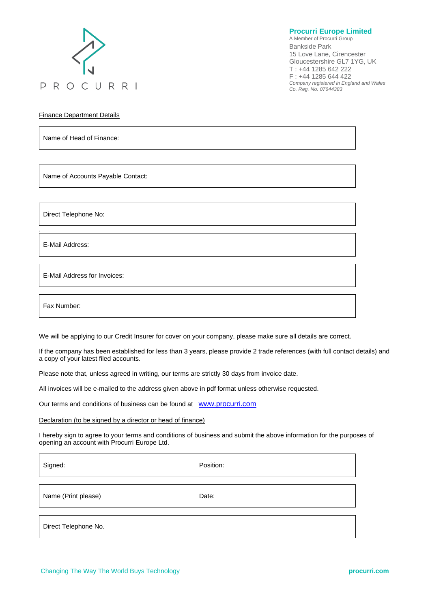

**Procurri Europe Limited**

A Member of Procurri Group Bankside Park 15 Love Lane, Cirencester Gloucestershire GL7 1YG, UK T : +44 1285 642 222 F : +44 1285 644 422 *Company registered in England and Wales Co. Reg. No. 07644383*

Finance Department Details

Name of Head of Finance:

Name of Accounts Payable Contact:

Direct Telephone No:

E-Mail Address:

.

E-Mail Address for Invoices:

Fax Number:

We will be applying to our Credit Insurer for cover on your company, please make sure all details are correct.

If the company has been established for less than 3 years, please provide 2 trade references (with full contact details) and a copy of your latest filed accounts.

Please note that, unless agreed in writing, our terms are strictly 30 days from invoice date.

All invoices will be e-mailed to the address given above in pdf format unless otherwise requested.

Our terms and conditions of business can be found at [www.procurri.com](http://www.procurri.com/)

Declaration (to be signed by a director or head of finance)

I hereby sign to agree to your terms and conditions of business and submit the above information for the purposes of opening an account with Procurri Europe Ltd.

Signed: Position: Name (Print please) Date: Direct Telephone No.